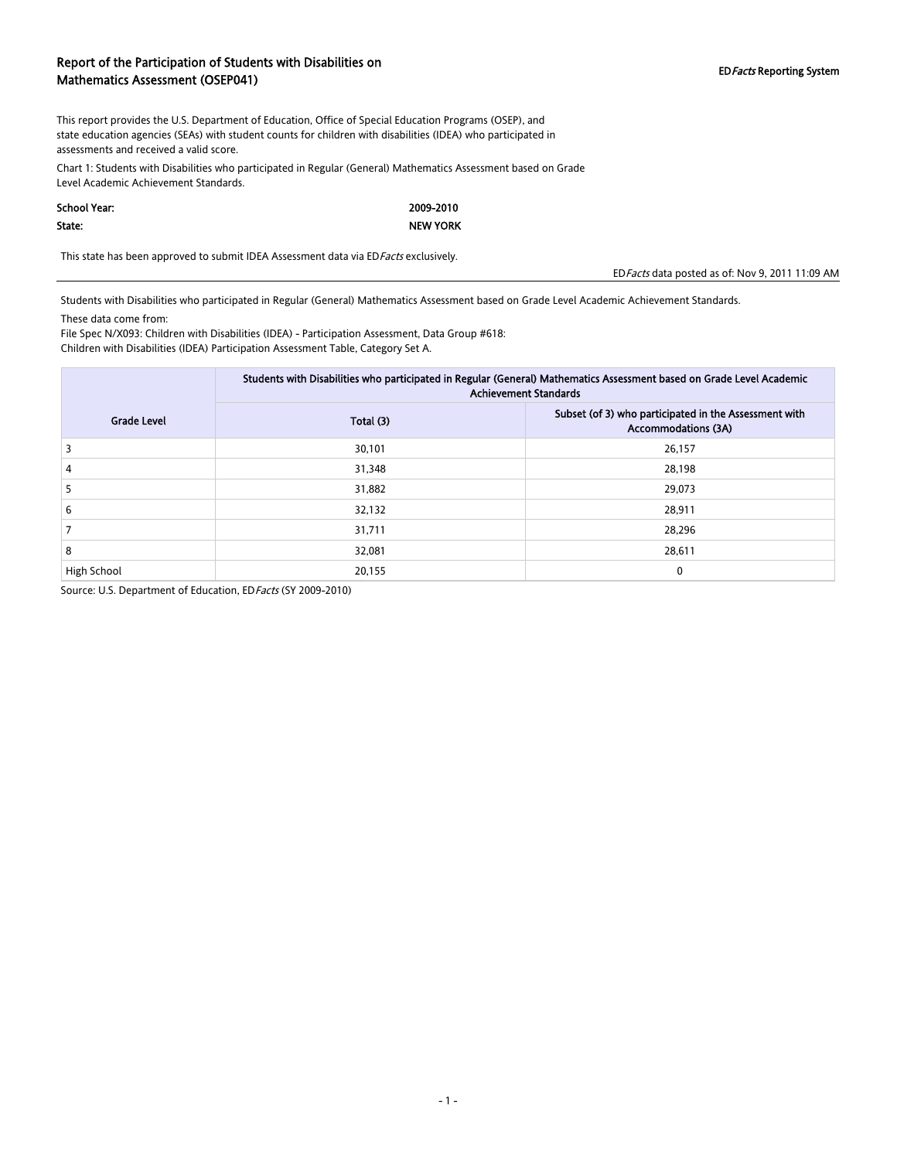### Report of the Participation of Students with Disabilities on Report of the Farticipation of Students with Disabilities on<br>Mathematics Assessment (OSEP041) EDFACTS Reporting System

This report provides the U.S. Department of Education, Office of Special Education Programs (OSEP), and state education agencies (SEAs) with student counts for children with disabilities (IDEA) who participated in assessments and received a valid score.

Chart 1: Students with Disabilities who participated in Regular (General) Mathematics Assessment based on Grade Level Academic Achievement Standards.

#### School Year:

#### State:

2009-2010 NEW YORK

This state has been approved to submit IDEA Assessment data via ED Facts exclusively.

EDFacts data posted as of: Nov 9, 2011 11:09 AM

Students with Disabilities who participated in Regular (General) Mathematics Assessment based on Grade Level Academic Achievement Standards.

These data come from:

File Spec N/X093: Children with Disabilities (IDEA) - Participation Assessment, Data Group #618: Children with Disabilities (IDEA) Participation Assessment Table, Category Set A.

|                    | Students with Disabilities who participated in Regular (General) Mathematics Assessment based on Grade Level Academic<br><b>Achievement Standards</b> |                                                                                     |  |  |
|--------------------|-------------------------------------------------------------------------------------------------------------------------------------------------------|-------------------------------------------------------------------------------------|--|--|
| <b>Grade Level</b> | Total (3)                                                                                                                                             | Subset (of 3) who participated in the Assessment with<br><b>Accommodations (3A)</b> |  |  |
| 3                  | 30,101                                                                                                                                                | 26,157                                                                              |  |  |
| 4                  | 31,348                                                                                                                                                | 28,198                                                                              |  |  |
| 5.                 | 31,882                                                                                                                                                | 29,073                                                                              |  |  |
| 6                  | 32,132                                                                                                                                                | 28,911                                                                              |  |  |
|                    | 31,711                                                                                                                                                | 28,296                                                                              |  |  |
| 8                  | 32,081                                                                                                                                                | 28,611                                                                              |  |  |
| High School        | 20,155                                                                                                                                                | 0                                                                                   |  |  |

Source: U.S. Department of Education, ED Facts (SY 2009-2010)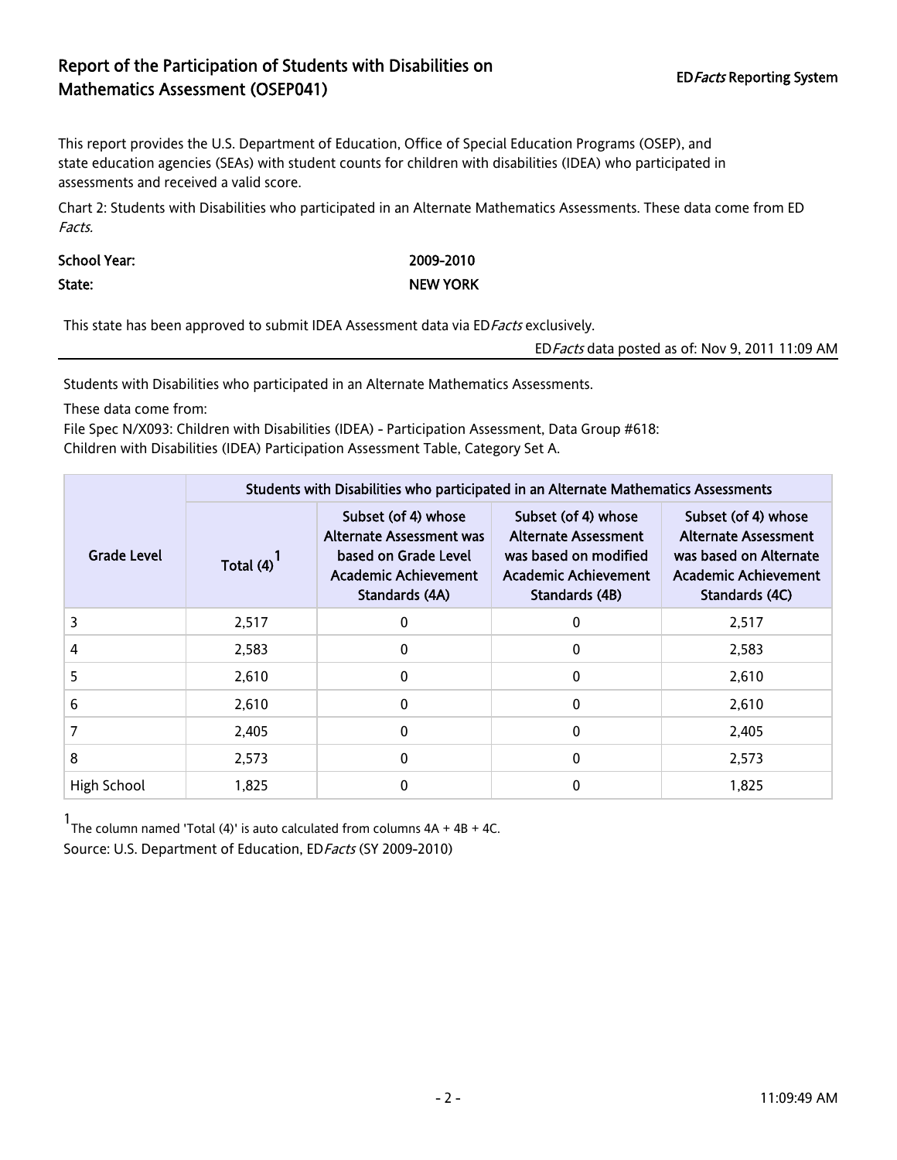## Report of the Participation of Students with Disabilities on EDFacts Reporting System Mathematics Assessment (OSEP041)

This report provides the U.S. Department of Education, Office of Special Education Programs (OSEP), and state education agencies (SEAs) with student counts for children with disabilities (IDEA) who participated in assessments and received a valid score.

Chart 2: Students with Disabilities who participated in an Alternate Mathematics Assessments. These data come from ED Facts.

School Year: 2009-2010 State: NEW YORK

This state has been approved to submit IDEA Assessment data via ED Facts exclusively.

EDFacts data posted as of: Nov 9, 2011 11:09 AM

Students with Disabilities who participated in an Alternate Mathematics Assessments.

These data come from:

File Spec N/X093: Children with Disabilities (IDEA) - Participation Assessment, Data Group #618: Children with Disabilities (IDEA) Participation Assessment Table, Category Set A.

|             | Students with Disabilities who participated in an Alternate Mathematics Assessments |                                                                                                                   |                                                                                                                       |                                                                                                                               |  |  |  |
|-------------|-------------------------------------------------------------------------------------|-------------------------------------------------------------------------------------------------------------------|-----------------------------------------------------------------------------------------------------------------------|-------------------------------------------------------------------------------------------------------------------------------|--|--|--|
| Grade Level | Total $(4)$                                                                         | Subset (of 4) whose<br>Alternate Assessment was<br>based on Grade Level<br>Academic Achievement<br>Standards (4A) | Subset (of 4) whose<br>Alternate Assessment<br>was based on modified<br><b>Academic Achievement</b><br>Standards (4B) | Subset (of 4) whose<br><b>Alternate Assessment</b><br>was based on Alternate<br><b>Academic Achievement</b><br>Standards (4C) |  |  |  |
| 3           | 2,517                                                                               | 0                                                                                                                 | $\Omega$                                                                                                              | 2,517                                                                                                                         |  |  |  |
| 4           | 2,583                                                                               | 0                                                                                                                 | 0                                                                                                                     | 2,583                                                                                                                         |  |  |  |
| 5           | 2,610                                                                               | 0                                                                                                                 | 0                                                                                                                     | 2,610                                                                                                                         |  |  |  |
| 6           | 2,610                                                                               | $\Omega$                                                                                                          | 0                                                                                                                     | 2,610                                                                                                                         |  |  |  |
| 7           | 2,405                                                                               | $\Omega$                                                                                                          | 0                                                                                                                     | 2,405                                                                                                                         |  |  |  |
| 8           | 2,573                                                                               | 0                                                                                                                 | 0                                                                                                                     | 2,573                                                                                                                         |  |  |  |
| High School | 1,825                                                                               | 0                                                                                                                 | 0                                                                                                                     | 1,825                                                                                                                         |  |  |  |

1 The column named 'Total (4)' is auto calculated from columns 4A + 4B + 4C. Source: U.S. Department of Education, ED Facts (SY 2009-2010)